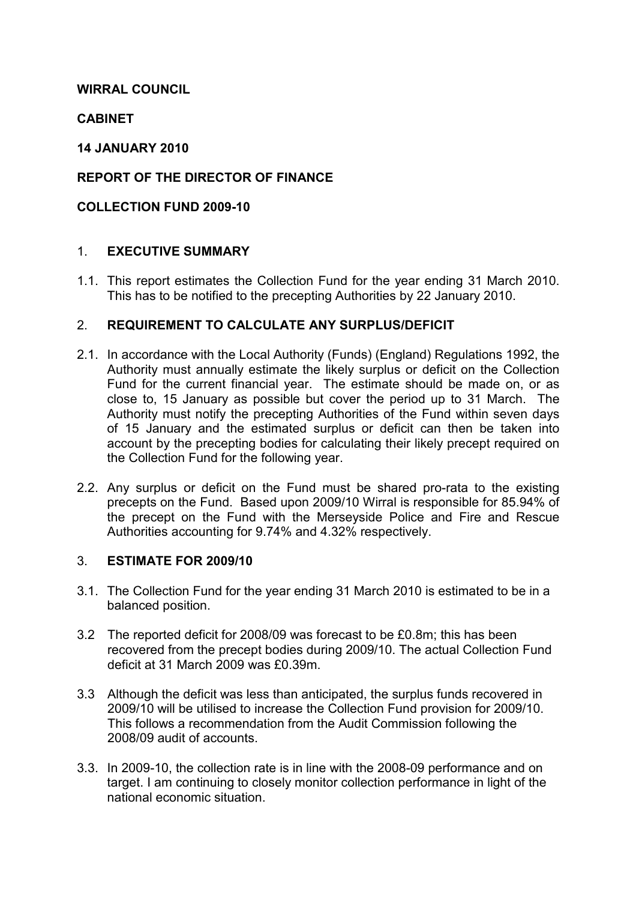# WIRRAL COUNCIL

## **CABINET**

### 14 JANUARY 2010

## REPORT OF THE DIRECTOR OF FINANCE

### COLLECTION FUND 2009-10

### 1. EXECUTIVE SUMMARY

1.1. This report estimates the Collection Fund for the year ending 31 March 2010. This has to be notified to the precepting Authorities by 22 January 2010.

### 2. REQUIREMENT TO CALCULATE ANY SURPLUS/DEFICIT

- 2.1. In accordance with the Local Authority (Funds) (England) Regulations 1992, the Authority must annually estimate the likely surplus or deficit on the Collection Fund for the current financial year. The estimate should be made on, or as close to, 15 January as possible but cover the period up to 31 March. The Authority must notify the precepting Authorities of the Fund within seven days of 15 January and the estimated surplus or deficit can then be taken into account by the precepting bodies for calculating their likely precept required on the Collection Fund for the following year.
- 2.2. Any surplus or deficit on the Fund must be shared pro-rata to the existing precepts on the Fund. Based upon 2009/10 Wirral is responsible for 85.94% of the precept on the Fund with the Merseyside Police and Fire and Rescue Authorities accounting for 9.74% and 4.32% respectively.

### 3. ESTIMATE FOR 2009/10

- 3.1. The Collection Fund for the year ending 31 March 2010 is estimated to be in a balanced position.
- 3.2 The reported deficit for 2008/09 was forecast to be £0.8m; this has been recovered from the precept bodies during 2009/10. The actual Collection Fund deficit at 31 March 2009 was £0.39m.
- 3.3 Although the deficit was less than anticipated, the surplus funds recovered in 2009/10 will be utilised to increase the Collection Fund provision for 2009/10. This follows a recommendation from the Audit Commission following the 2008/09 audit of accounts.
- 3.3. In 2009-10, the collection rate is in line with the 2008-09 performance and on target. I am continuing to closely monitor collection performance in light of the national economic situation.